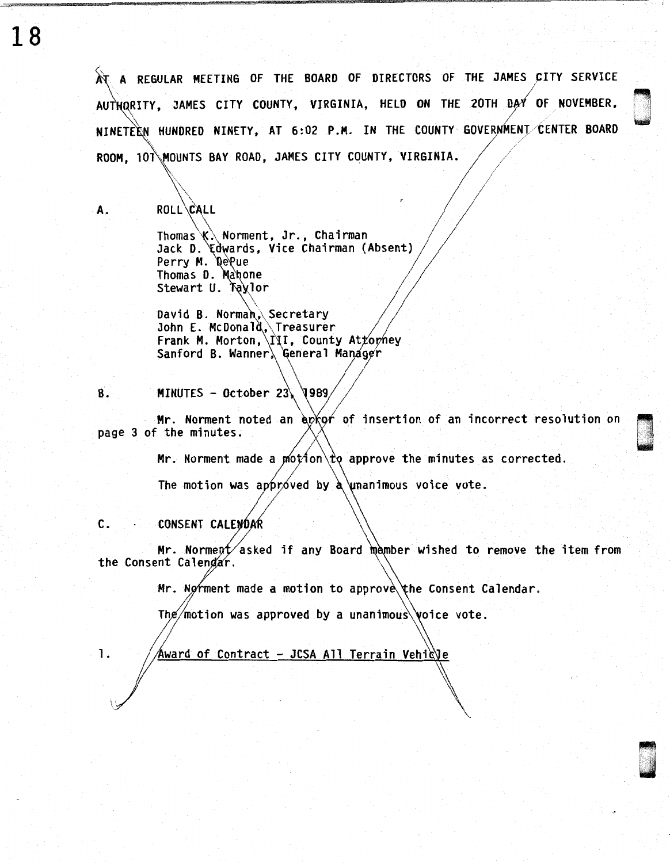AT A REGULAR MEETING OF THE BOARD OF DIRECTORS OF THE JAMES CITY SERVICE AUTHORITY, JAMES CITY COUNTY, VIRGINIA, HELD ON THE 20TH DAY OF NOVEMBER, NINETEEN HUNDRED NINETY, AT 6:02 P.M. IN THE COUNTY GOVERNMENT/CENTER BOARD · .. ROOM, 101\MOUNTS BAY ROAD, JAMES CITY COUNTY, VIRGINIA.

<sup>I</sup>~ ·1 i je začelji protiv protiv protiv protiv protiv protiv protiv protiv protiv protiv protiv protiv protiv protiv<br>Diskografija

 $\mathcal{N}$  , and the set of the set of the set of the set of the set of the set of the set of the set of the set of the set of the set of the set of the set of the set of the set of the set of the set of the set of the set

ROLL CALL

A.

\\_  $\sqrt{ }$  $\diagdown$ 

Thomas\\ Norment, Jr., Chairman Jack D. Edwards, Vice Chairman (Absent) Perry M. DePue Thomas D. Mahone Stewart U. Taylor  $\diagdown$ 

<code>David B. Normah</code>, <code>Secretary</code> John E. McDonal ,\Treasurer Frank M. Morton, III, County Atrophey Sanford B. Wanner, General Manager

MINUTES - October 23  $1989$ B.

Mr. Norment noted an  $\exp(\alpha f)$  of insertion of an incorrect resolution on page 3 of the minutes.

Mr. Norment made a motion  $\downarrow$  approve the minutes as corrected.

The motion was approved by a unanimous voice vote.

#### c. **CONSENT CALENDAR**

Mr. Norment asked if any Board member wished to remove the item from<br>the Consent Calendar.

Mr. Norment made a motion to approve the Consent Calendar.

The/motion was approved by a unanimous voice vote.

1.  $\frac{1}{4}$   $\frac{1}{4}$   $\frac{1}{4}$   $\frac{1}{4}$   $\frac{1}{4}$   $\frac{1}{4}$   $\frac{1}{4}$   $\frac{1}{4}$   $\frac{1}{4}$   $\frac{1}{4}$   $\frac{1}{4}$   $\frac{1}{4}$   $\frac{1}{4}$   $\frac{1}{4}$   $\frac{1}{4}$   $\frac{1}{4}$   $\frac{1}{4}$   $\frac{1}{4}$   $\frac{1}{4}$   $\frac{1}{4}$   $\frac{1}{4}$   $\frac{1}{4}$ 

18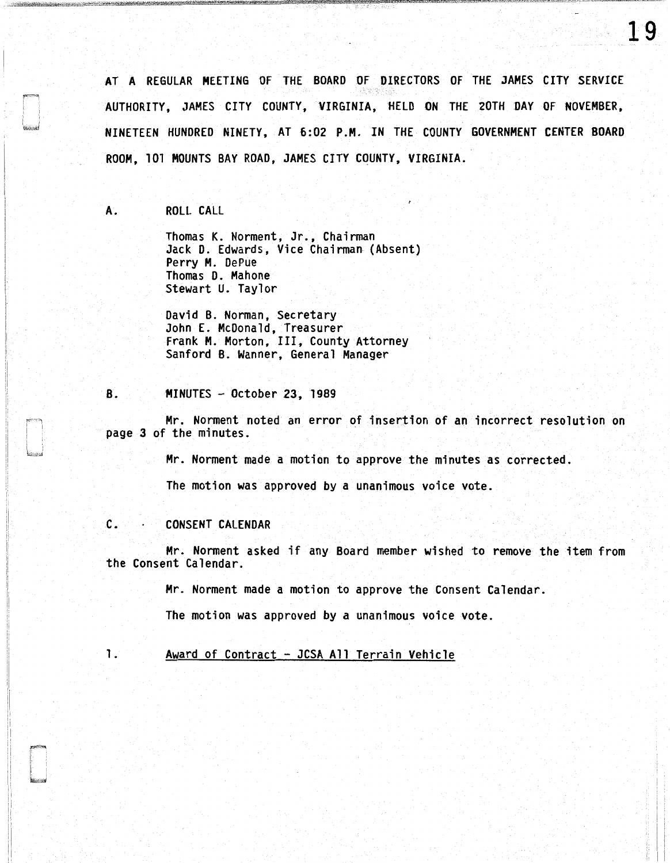AT A REGULAR MEETING OF THE BOARD OF DIRECTORS OF THE JAMES CITY SERVICE AUTHORITY, JAMES CITY COUNTY, VIRGINIA, HELD ON THE 20TH DAY OF NOVEMBER, NINETEEN HUNDRED NINETY, AT 6:02 P .M. IN THE COUNTY GOVERNMENT CENTER BOARD ROOM, 101 MOUNTS BAY ROAD, JAMES CITY COUNTY, VIRGINIA.

## A. ROLL CALL

Thomas K. Norment, Jr., Chairman Jack D. Edwards, Vice Chairman (Absent) Perry M. DePue Thomas D. Mahone Stewart U. Taylor

David B. Norman, Secretary John E. McDonald, Treasurer Frank M. Morton, III, County Attorney Sanford 8. Wanner, General Manager

### 8. MINUTES - October 23, 1989

Mr. Norment noted an error of insertion of an incorrect resolution on page 3 of the minutes.

Mr. Norment made a motion to approve the minutes as corrected.

The motion was approved by a unanimous voice vote.

### C. CONSENT CALENDAR

Mr. Norment asked if any Board member wished to remove the item from the Consent Calendar.

Mr. Norment made a motion to approve the Consent Calendar.

The motion was approved by a unanimous voice vote.

# 1. Award of Contract - JCSA All Terrain Vehicle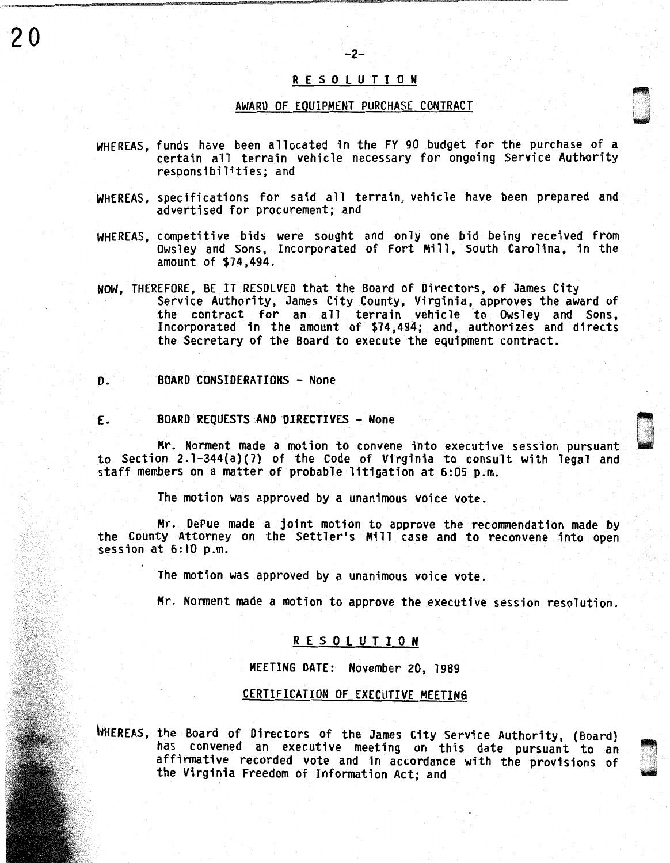# R E S 0 l U T I 0 N

-2-

# AWARD OF EQUIPMENT PURCHASE CONTRACT

- WHEREAS, funds have been allocated in the FY 90 budget for the purchase of a certain all terrain vehicle necessary for ongoing Service Authority responsibilities; and
- WHEREAS, specifications for said all terrain, vehicle have been prepared and advertised for procurement; and
- WHEREAS, competitive bids were sought and only one bid being received from Owsley and Sons, Incorporated of Fort Mill, South Carolina, in the amount of \$74,494.
- NOW, THEREFORE, BE IT RESOLVED that the Board of Directors, of James City Service Authority, James City County, Virginia, approves the award of the contract for an all terrain vehicle to Owsley and Sons, Incorporated in the amount of \$74,494; and, authorizes and directs the Secretary of the Board to execute the equipment contract.

#### *D.*  BOARD CONSIDERATIONS - None

£. BOARD REQUESTS AND DIRECTIVES - None

Mr. Norment made a motion to convene into executive session pursuant to Section 2. l-344(a)(7) of the Code of Virginia to consult with legal and staff members on a matter of probable litigation at 6:05 p.m.

u '

The motion was approved by a unanimous voice vote.

Mr. DePue made a joint motion to approve the recommendation made by the County Attorney on the Settler's Mill case and to reconvene into open session at 6:10 p.m.

The motion was approved by a unanimous voice vote.

Mr. Norment made a motion to approve the executive session resolution.

## R E S O L U T I O N

MEETING DATE: November 20, 1989

# CERTIFICATION OF EXECUTIVE MEETING

WHEREAS, the Board of Directors of the James City Service Authority, (Board) has convened an executive meeting on this date pursuant to an affirmative recorded vote and in accordance with the provisions of the Virginia Freedom of Information Act; and

20